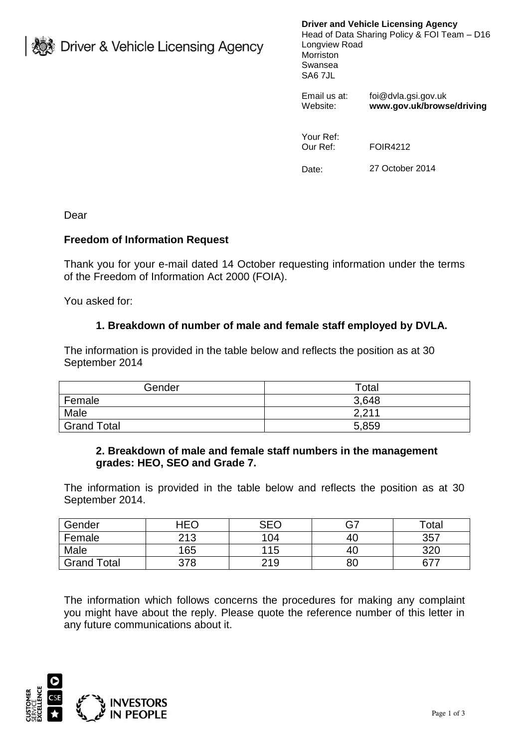**》Driver & Vehicle Licensing Agency** 

**Driver and Vehicle Licensing Agency**

Head of Data Sharing Policy & FOI Team – D16 Longview Road Morriston Swansea SA6 7JL

Email us at: foi@dvla.gsi.gov.uk<br>Website: **www.gov.uk/brows** Website: **www.gov.uk/browse/driving**

Your Ref: Our Ref: FOIR4212

Date: 27 October 2014

Dear

## **Freedom of Information Request**

Thank you for your e-mail dated 14 October requesting information under the terms of the Freedom of Information Act 2000 (FOIA).

You asked for:

## **1. Breakdown of number of male and female staff employed by DVLA.**

The information is provided in the table below and reflects the position as at 30 September 2014

| Gender             | Total |
|--------------------|-------|
| Female             | 3,648 |
| Male               | 2,211 |
| <b>Grand Total</b> | 5,859 |

## **2. Breakdown of male and female staff numbers in the management grades: HEO, SEO and Grade 7.**

The information is provided in the table below and reflects the position as at 30 September 2014.

| Gender             | HEO | ペロパ |     | Total |
|--------------------|-----|-----|-----|-------|
| Female             | 213 | 104 | -4C | 357   |
| Male               | 165 | 115 | 4C  | 320   |
| <b>Grand Total</b> | 378 | 219 | 8C  | 677   |

The information which follows concerns the procedures for making any complaint you might have about the reply. Please quote the reference number of this letter in any future communications about it.

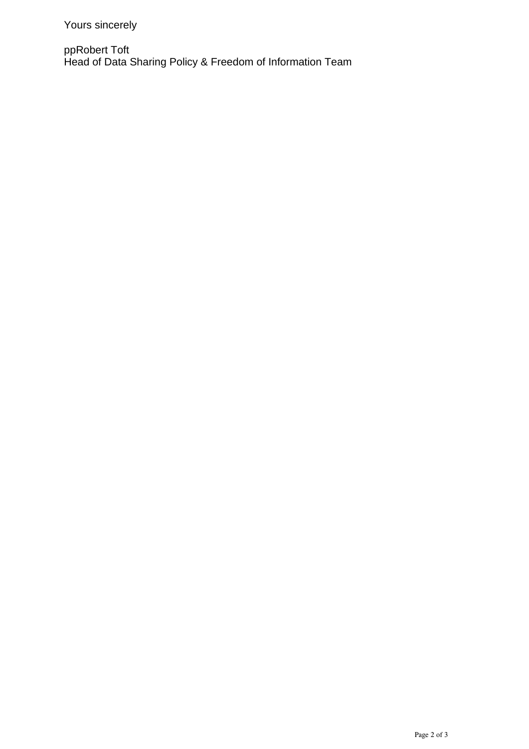ppRobert Toft Head of Data Sharing Policy & Freedom of Information Team